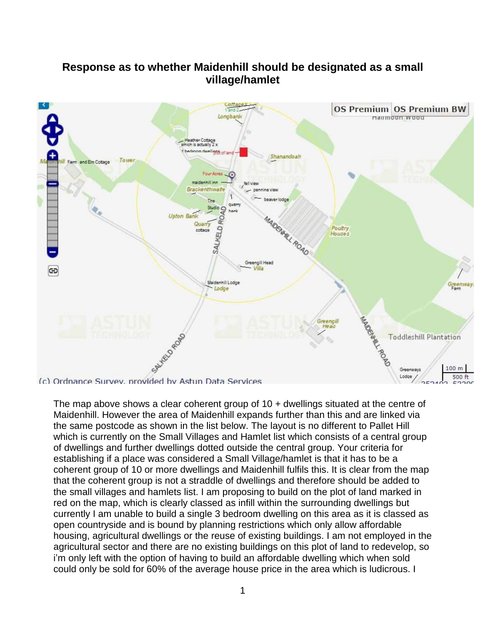## **Response as to whether Maidenhill should be designated as a small village/hamlet**



The map above shows a clear coherent group of 10 + dwellings situated at the centre of Maidenhill. However the area of Maidenhill expands further than this and are linked via the same postcode as shown in the list below. The layout is no different to Pallet Hill which is currently on the Small Villages and Hamlet list which consists of a central group of dwellings and further dwellings dotted outside the central group. Your criteria for establishing if a place was considered a Small Village/hamlet is that it has to be a coherent group of 10 or more dwellings and Maidenhill fulfils this. It is clear from the map that the coherent group is not a straddle of dwellings and therefore should be added to the small villages and hamlets list. I am proposing to build on the plot of land marked in red on the map, which is clearly classed as infill within the surrounding dwellings but currently I am unable to build a single 3 bedroom dwelling on this area as it is classed as open countryside and is bound by planning restrictions which only allow affordable housing, agricultural dwellings or the reuse of existing buildings. I am not employed in the agricultural sector and there are no existing buildings on this plot of land to redevelop, so i'm only left with the option of having to build an affordable dwelling which when sold could only be sold for 60% of the average house price in the area which is ludicrous. I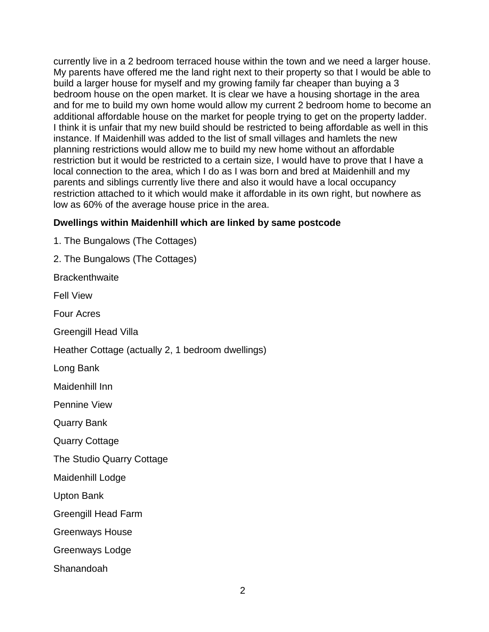currently live in a 2 bedroom terraced house within the town and we need a larger house. My parents have offered me the land right next to their property so that I would be able to build a larger house for myself and my growing family far cheaper than buying a 3 bedroom house on the open market. It is clear we have a housing shortage in the area and for me to build my own home would allow my current 2 bedroom home to become an additional affordable house on the market for people trying to get on the property ladder. I think it is unfair that my new build should be restricted to being affordable as well in this instance. If Maidenhill was added to the list of small villages and hamlets the new planning restrictions would allow me to build my new home without an affordable restriction but it would be restricted to a certain size, I would have to prove that I have a local connection to the area, which I do as I was born and bred at Maidenhill and my parents and siblings currently live there and also it would have a local occupancy restriction attached to it which would make it affordable in its own right, but nowhere as low as 60% of the average house price in the area.

## **Dwellings within Maidenhill which are linked by same postcode**

1. The Bungalows (The Cottages)

2. The Bungalows (The Cottages)

**Brackenthwaite** 

Fell View

Four Acres

Greengill Head Villa

Heather Cottage (actually 2, 1 bedroom dwellings)

Long Bank

Maidenhill Inn

Pennine View

Quarry Bank

Quarry Cottage

The Studio Quarry Cottage

Maidenhill Lodge

Upton Bank

Greengill Head Farm

Greenways House

Greenways Lodge

Shanandoah